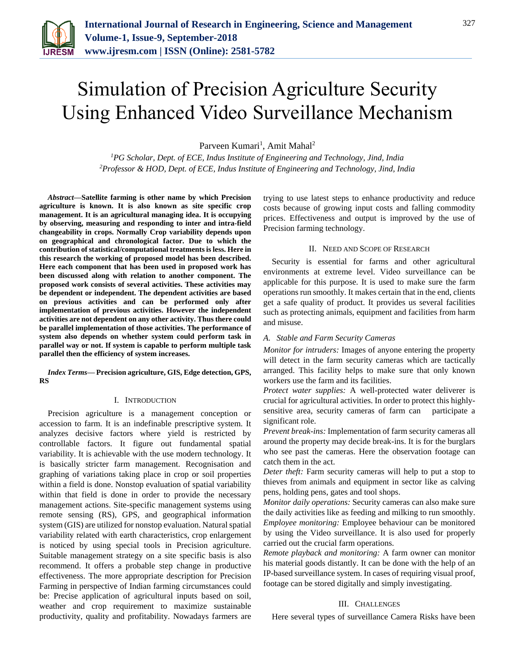

# Simulation of Precision Agriculture Security Using Enhanced Video Surveillance Mechanism

Parveen Kumari<sup>1</sup>, Amit Mahal<sup>2</sup>

*<sup>1</sup>PG Scholar, Dept. of ECE, Indus Institute of Engineering and Technology, Jind, India 2Professor & HOD, Dept. of ECE, Indus Institute of Engineering and Technology, Jind, India*

*Abstract***—Satellite farming is other name by which Precision agriculture is known. It is also known as site specific crop management. It is an agricultural managing idea. It is occupying by observing, measuring and responding to inter and intra-field changeability in crops. Normally Crop variability depends upon on geographical and chronological factor. Due to which the contribution of statistical/computational treatments is less. Here in this research the working of proposed model has been described. Here each component that has been used in proposed work has been discussed along with relation to another component. The proposed work consists of several activities. These activities may be dependent or independent. The dependent activities are based on previous activities and can be performed only after implementation of previous activities. However the independent activities are not dependent on any other activity. Thus there could be parallel implementation of those activities. The performance of system also depends on whether system could perform task in parallel way or not. If system is capable to perform multiple task parallel then the efficiency of system increases.**

### *Index Terms***— Precision agriculture, GIS, Edge detection, GPS, RS**

## I. INTRODUCTION

Precision agriculture is a management conception or accession to farm. It is an indefinable prescriptive system. It analyzes decisive factors where yield is restricted by controllable factors. It figure out fundamental spatial variability. It is achievable with the use modern technology. It is basically stricter farm management. Recognisation and graphing of variations taking place in crop or soil properties within a field is done. Nonstop evaluation of spatial variability within that field is done in order to provide the necessary management actions. Site-specific management systems using remote sensing (RS), GPS, and geographical information system (GIS) are utilized for nonstop evaluation. Natural spatial variability related with earth characteristics, crop enlargement is noticed by using special tools in Precision agriculture. Suitable management strategy on a site specific basis is also recommend. It offers a probable step change in productive effectiveness. The more appropriate description for Precision Farming in perspective of Indian farming circumstances could be: Precise application of agricultural inputs based on soil, weather and crop requirement to maximize sustainable productivity, quality and profitability. Nowadays farmers are trying to use latest steps to enhance productivity and reduce costs because of growing input costs and falling commodity prices. Effectiveness and output is improved by the use of Precision farming technology.

## II. NEED AND SCOPE OF RESEARCH

Security is essential for farms and other agricultural environments at extreme level. Video surveillance can be applicable for this purpose. It is used to make sure the farm operations run smoothly. It makes certain that in the end, clients get a safe quality of product. It provides us several facilities such as protecting animals, equipment and facilities from harm and misuse.

## *A. Stable and Farm Security Cameras*

*Monitor for intruders:* Images of anyone entering the property will detect in the farm security cameras which are tactically arranged. This facility helps to make sure that only known workers use the farm and its facilities.

*Protect water supplies:* A well-protected water deliverer is crucial for agricultural activities. In order to protect this highlysensitive area, security cameras of farm can participate a significant role.

*Prevent break-ins:* Implementation of farm security cameras all around the property may decide break-ins. It is for the burglars who see past the cameras. Here the observation footage can catch them in the act.

*Deter theft:* Farm security cameras will help to put a stop to thieves from animals and equipment in sector like as calving pens, holding pens, gates and tool shops.

*Monitor daily operations:* Security cameras can also make sure the daily activities like as feeding and milking to run smoothly. *Employee monitoring:* Employee behaviour can be monitored by using the Video surveillance. It is also used for properly carried out the crucial farm operations.

*Remote playback and monitoring:* A farm owner can monitor his material goods distantly. It can be done with the help of an IP-based surveillance system. In cases of requiring visual proof, footage can be stored digitally and simply investigating.

## III. CHALLENGES

Here several types of surveillance Camera Risks have been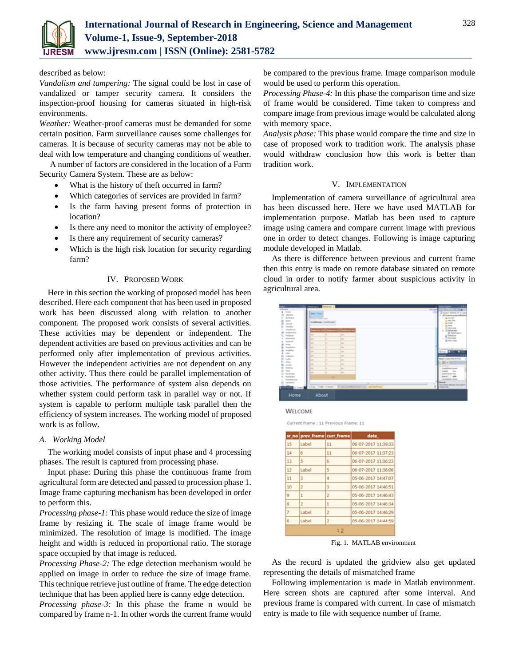

### described as below:

*Vandalism and tampering:* The signal could be lost in case of vandalized or tamper security camera. It considers the inspection-proof housing for cameras situated in high-risk environments.

*Weather:* Weather-proof cameras must be demanded for some certain position. Farm surveillance causes some challenges for cameras. It is because of security cameras may not be able to deal with low temperature and changing conditions of weather.

A number of factors are considered in the location of a Farm Security Camera System. These are as below:

- What is the history of theft occurred in farm?
- Which categories of services are provided in farm?
- Is the farm having present forms of protection in location?
- Is there any need to monitor the activity of employee?
- Is there any requirement of security cameras?
- Which is the high risk location for security regarding farm?

#### IV. PROPOSED WORK

Here in this section the working of proposed model has been described. Here each component that has been used in proposed work has been discussed along with relation to another component. The proposed work consists of several activities. These activities may be dependent or independent. The dependent activities are based on previous activities and can be performed only after implementation of previous activities. However the independent activities are not dependent on any other activity. Thus there could be parallel implementation of those activities. The performance of system also depends on whether system could perform task in parallel way or not. If system is capable to perform multiple task parallel then the efficiency of system increases. The working model of proposed work is as follow.

## *A. Working Model*

The working model consists of input phase and 4 processing phases. The result is captured from processing phase.

Input phase: During this phase the continuous frame from agricultural form are detected and passed to procession phase 1. Image frame capturing mechanism has been developed in order to perform this.

*Processing phase-1:* This phase would reduce the size of image frame by resizing it. The scale of image frame would be minimized. The resolution of image is modified. The image height and width is reduced in proportional ratio. The storage space occupied by that image is reduced.

*Processing Phase-2:* The edge detection mechanism would be applied on image in order to reduce the size of image frame. This technique retrieve just outline of frame. The edge detection technique that has been applied here is canny edge detection.

*Processing phase-3:* In this phase the frame n would be compared by frame n-1. In other words the current frame would

be compared to the previous frame. Image comparison module would be used to perform this operation.

*Processing Phase-4:* In this phase the comparison time and size of frame would be considered. Time taken to compress and compare image from previous image would be calculated along with memory space.

*Analysis phase:* This phase would compare the time and size in case of proposed work to tradition work. The analysis phase would withdraw conclusion how this work is better than tradition work.

### V. IMPLEMENTATION

Implementation of camera surveillance of agricultural area has been discussed here. Here we have used MATLAB for implementation purpose. Matlab has been used to capture image using camera and compare current image with previous one in order to detect changes. Following is image capturing module developed in Matlab.

As there is difference between previous and current frame then this entry is made on remote database situated on remote cloud in order to notify farmer about suspicious activity in agricultural area.



**WELCOME** 

Current frame : 11 Previous Frame: 11

| date                |
|---------------------|
| 06-07-2017 11:39:33 |
| 06-07-2017 11:37:23 |
| 06-07-2017 11:36:23 |
| 06-07-2017 11:36:06 |
| 05-06-2017 14:47:07 |
| 05-06-2017 14:46:51 |
| 05-06-2017 14:46:43 |
| 05-06-2017 14:46:34 |
| 05-06-2017 14:46:29 |
| 05-06-2017 14:44:59 |
|                     |

Fig. 1. MATLAB environment

As the record is updated the gridview also get updated representing the details of mismatched frame

Following implementation is made in Matlab environment. Here screen shots are captured after some interval. And previous frame is compared with current. In case of mismatch entry is made to file with sequence number of frame.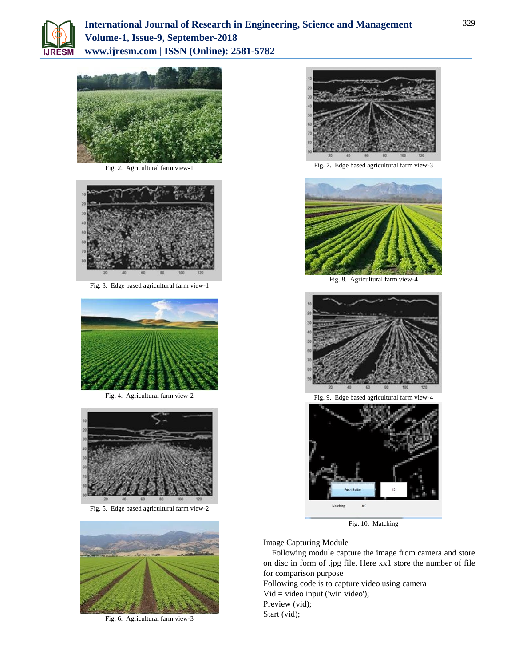



Fig. 2. Agricultural farm view-1



Fig. 3. Edge based agricultural farm view-1



Fig. 4. Agricultural farm view-2



Fig. 5. Edge based agricultural farm view-2



Fig. 6. Agricultural farm view-3



Fig. 7. Edge based agricultural farm view-3



Fig. 8. Agricultural farm view-4





Fig. 10. Matching

Image Capturing Module

Following module capture the image from camera and store on disc in form of .jpg file. Here xx1 store the number of file for comparison purpose

Following code is to capture video using camera  $Vid = video input ('win video');$ Preview (vid); Start (vid);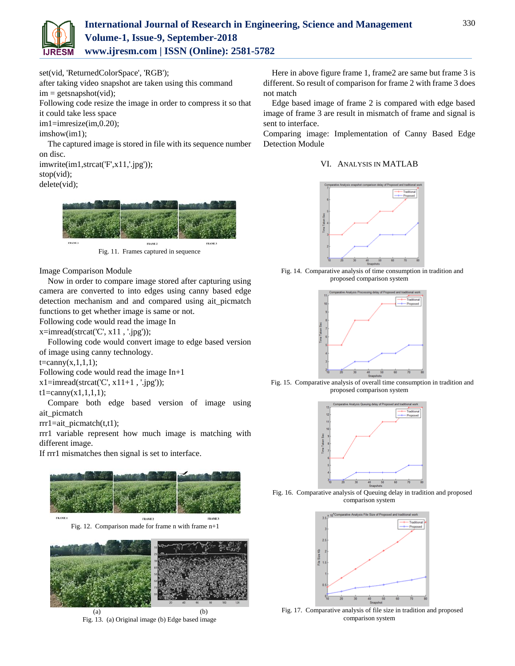

set(vid, 'ReturnedColorSpace', 'RGB');

after taking video snapshot are taken using this command  $im = getanapshot(vid);$ 

Following code resize the image in order to compress it so that it could take less space

im1=imresize(im,0.20);

imshow(im1);

The captured image is stored in file with its sequence number on disc.

imwrite(im1,strcat('F',x11,'.jpg')); stop(vid); delete(vid);



Fig. 11. Frames captured in sequence

Image Comparison Module

Now in order to compare image stored after capturing using camera are converted to into edges using canny based edge detection mechanism and and compared using ait\_picmatch functions to get whether image is same or not.

Following code would read the image In

 $x=imread(strcat('C', x11, '.ipg'));$ 

Following code would convert image to edge based version of image using canny technology.

 $t = \text{canny}(x,1,1,1);$ 

Following code would read the image In+1

 $x1=imread(strcat('C', x11+1, '.jpg'));$ 

 $t1 = \text{canny}(x1,1,1,1);$ 

Compare both edge based version of image using ait\_picmatch

 $rrr1=ait$  picmatch $(t,t1)$ ;

rrr1 variable represent how much image is matching with different image.

If rrr1 mismatches then signal is set to interface.





Here in above figure frame 1, frame2 are same but frame 3 is different. So result of comparison for frame 2 with frame 3 does not match

Edge based image of frame 2 is compared with edge based image of frame 3 are result in mismatch of frame and signal is sent to interface.

Comparing image: Implementation of Canny Based Edge Detection Module

## VI. ANALYSIS IN MATLAB



Fig. 14. Comparative analysis of time consumption in tradition and proposed comparison system



Fig. 15. Comparative analysis of overall time consumption in tradition and proposed comparison system



Fig. 16. Comparative analysis of Queuing delay in tradition and proposed comparison system



Fig. 17. Comparative analysis of file size in tradition and proposed comparison system